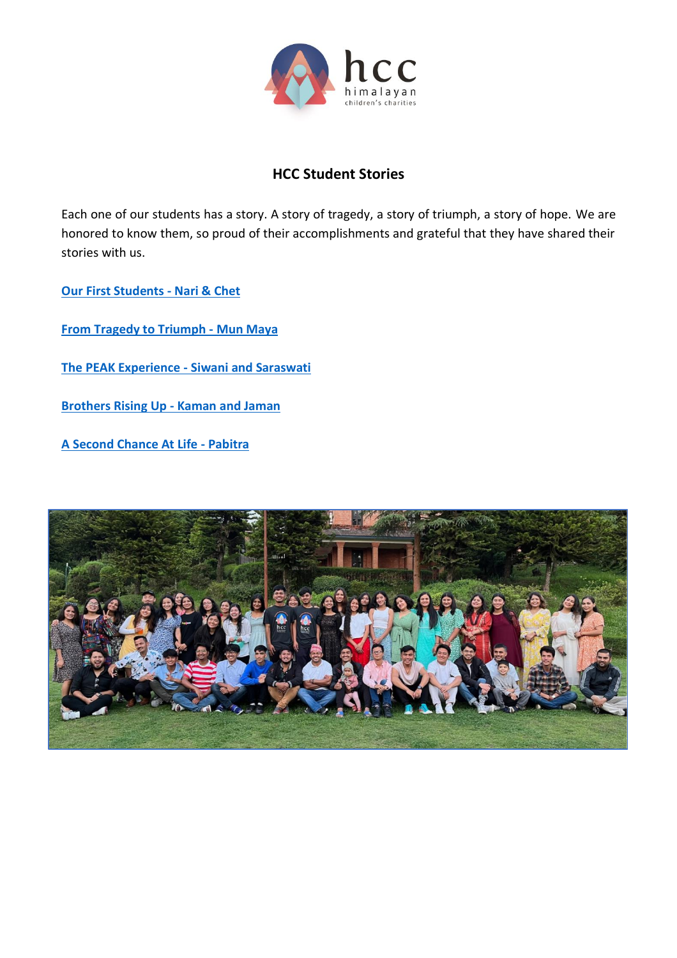

# **HCC Student Stories**

Each one of our students has a story. A story of tragedy, a story of triumph, a story of hope. We are honored to know them, so proud of their accomplishments and grateful that they have shared their stories with us.

**[Our First Students -](#page-1-0) Nari & Chet**

**[From Tragedy to Triumph -](#page-2-0) Mun Maya**

**[The PEAK Experience -](#page-3-0) Siwani and Saraswati**

**[Brothers Rising Up -](#page-4-0) Kaman and Jaman**

**[A Second Chance At Life -](#page-6-0) Pabitra**

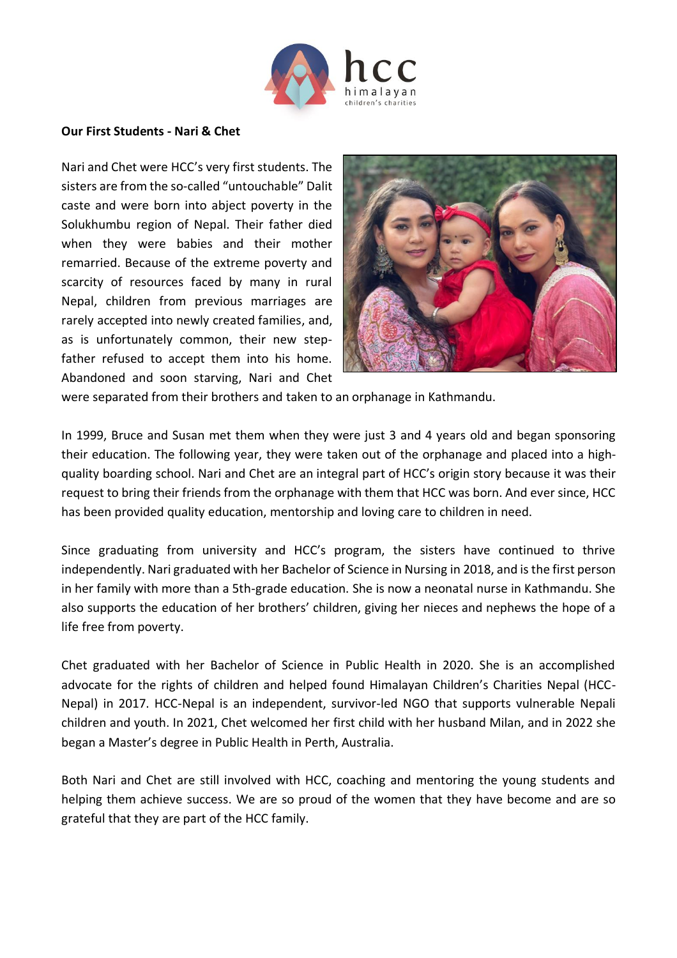

#### <span id="page-1-0"></span>**Our First Students - Nari & Chet**

Nari and Chet were HCC's very first students. The sisters are from the so-called "untouchable" Dalit caste and were born into abject poverty in the Solukhumbu region of Nepal. Their father died when they were babies and their mother remarried. Because of the extreme poverty and scarcity of resources faced by many in rural Nepal, children from previous marriages are rarely accepted into newly created families, and, as is unfortunately common, their new stepfather refused to accept them into his home. Abandoned and soon starving, Nari and Chet



were separated from their brothers and taken to an orphanage in Kathmandu.

In 1999, Bruce and Susan met them when they were just 3 and 4 years old and began sponsoring their education. The following year, they were taken out of the orphanage and placed into a highquality boarding school. Nari and Chet are an integral part of HCC's origin story because it was their request to bring their friends from the orphanage with them that HCC was born. And ever since, HCC has been provided quality education, mentorship and loving care to children in need.

Since graduating from university and HCC's program, the sisters have continued to thrive independently. Nari graduated with her Bachelor of Science in Nursing in 2018, and is the first person in her family with more than a 5th-grade education. She is now a neonatal nurse in Kathmandu. She also supports the education of her brothers' children, giving her nieces and nephews the hope of a life free from poverty.

Chet graduated with her Bachelor of Science in Public Health in 2020. She is an accomplished advocate for the rights of children and helped found Himalayan Children's Charities Nepal (HCC-Nepal) in 2017. HCC-Nepal is an independent, survivor-led NGO that supports vulnerable Nepali children and youth. In 2021, Chet welcomed her first child with her husband Milan, and in 2022 she began a Master's degree in Public Health in Perth, Australia.

Both Nari and Chet are still involved with HCC, coaching and mentoring the young students and helping them achieve success. We are so proud of the women that they have become and are so grateful that they are part of the HCC family.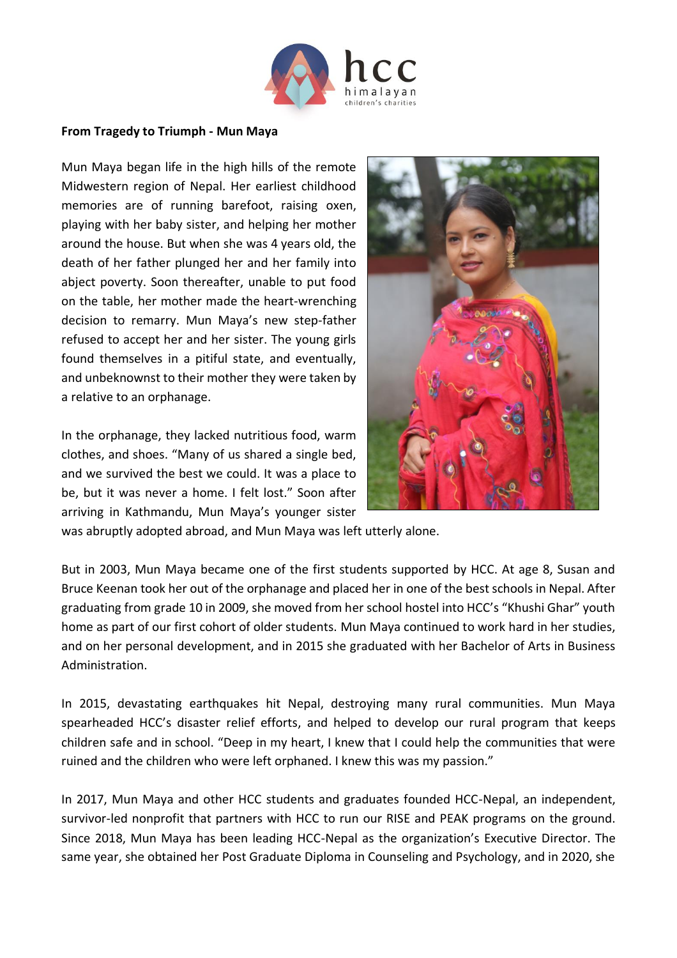

#### <span id="page-2-0"></span>**From Tragedy to Triumph - Mun Maya**

Mun Maya began life in the high hills of the remote Midwestern region of Nepal. Her earliest childhood memories are of running barefoot, raising oxen, playing with her baby sister, and helping her mother around the house. But when she was 4 years old, the death of her father plunged her and her family into abject poverty. Soon thereafter, unable to put food on the table, her mother made the heart-wrenching decision to remarry. Mun Maya's new step-father refused to accept her and her sister. The young girls found themselves in a pitiful state, and eventually, and unbeknownst to their mother they were taken by a relative to an orphanage.

In the orphanage, they lacked nutritious food, warm clothes, and shoes. "Many of us shared a single bed, and we survived the best we could. It was a place to be, but it was never a home. I felt lost." Soon after arriving in Kathmandu, Mun Maya's younger sister



was abruptly adopted abroad, and Mun Maya was left utterly alone.

But in 2003, Mun Maya became one of the first students supported by HCC. At age 8, Susan and Bruce Keenan took her out of the orphanage and placed her in one of the best schools in Nepal. After graduating from grade 10 in 2009, she moved from her school hostel into HCC's "Khushi Ghar" youth home as part of our first cohort of older students. Mun Maya continued to work hard in her studies, and on her personal development, and in 2015 she graduated with her Bachelor of Arts in Business Administration.

In 2015, devastating earthquakes hit Nepal, destroying many rural communities. Mun Maya spearheaded HCC's disaster relief efforts, and helped to develop our rural program that keeps children safe and in school. "Deep in my heart, I knew that I could help the communities that were ruined and the children who were left orphaned. I knew this was my passion."

In 2017, Mun Maya and other HCC students and graduates founded HCC-Nepal, an independent, survivor-led nonprofit that partners with HCC to run our RISE and PEAK programs on the ground. Since 2018, Mun Maya has been leading HCC-Nepal as the organization's Executive Director. The same year, she obtained her Post Graduate Diploma in Counseling and Psychology, and in 2020, she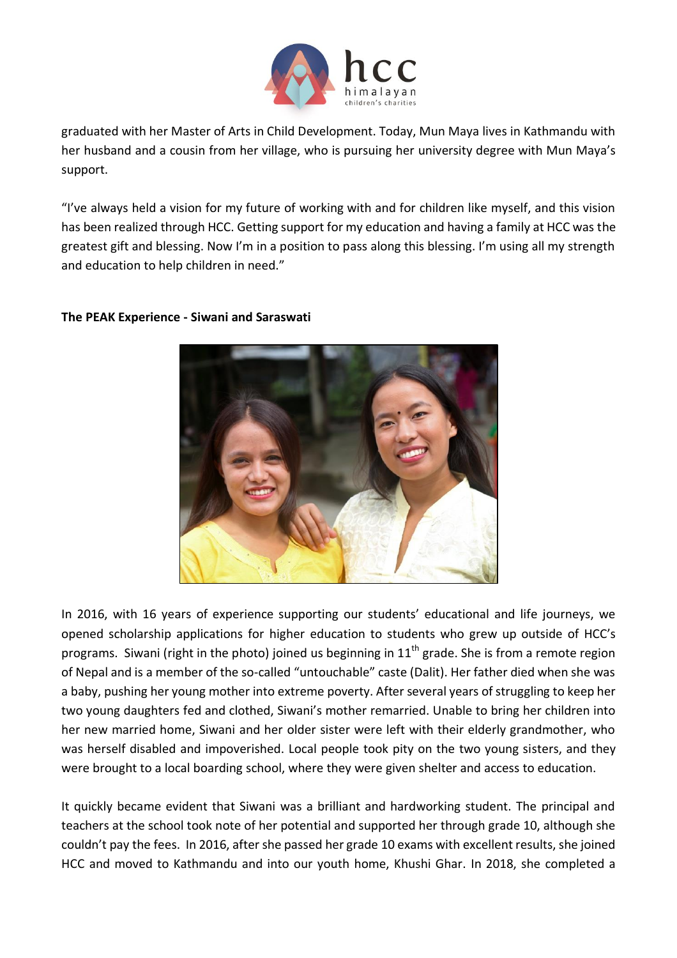

graduated with her Master of Arts in Child Development. Today, Mun Maya lives in Kathmandu with her husband and a cousin from her village, who is pursuing her university degree with Mun Maya's support.

"I've always held a vision for my future of working with and for children like myself, and this vision has been realized through HCC. Getting support for my education and having a family at HCC was the greatest gift and blessing. Now I'm in a position to pass along this blessing. I'm using all my strength and education to help children in need."



## <span id="page-3-0"></span>**The PEAK Experience - Siwani and Saraswati**

In 2016, with 16 years of experience supporting our students' educational and life journeys, we opened scholarship applications for higher education to students who grew up outside of HCC's programs. Siwani (right in the photo) joined us beginning in  $11<sup>th</sup>$  grade. She is from a remote region of Nepal and is a member of the so-called "untouchable" caste (Dalit). Her father died when she was a baby, pushing her young mother into extreme poverty. After several years of struggling to keep her two young daughters fed and clothed, Siwani's mother remarried. Unable to bring her children into her new married home, Siwani and her older sister were left with their elderly grandmother, who was herself disabled and impoverished. Local people took pity on the two young sisters, and they were brought to a local boarding school, where they were given shelter and access to education.

It quickly became evident that Siwani was a brilliant and hardworking student. The principal and teachers at the school took note of her potential and supported her through grade 10, although she couldn't pay the fees. In 2016, after she passed her grade 10 exams with excellent results, she joined HCC and moved to Kathmandu and into our youth home, Khushi Ghar. In 2018, she completed a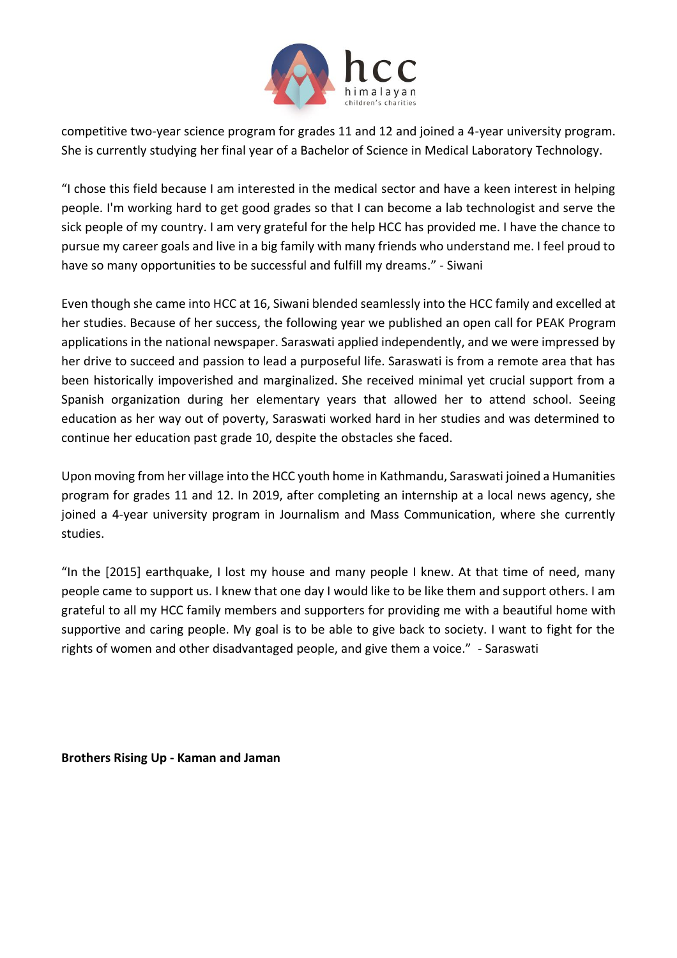

competitive two-year science program for grades 11 and 12 and joined a 4-year university program. She is currently studying her final year of a Bachelor of Science in Medical Laboratory Technology.

"I chose this field because I am interested in the medical sector and have a keen interest in helping people. I'm working hard to get good grades so that I can become a lab technologist and serve the sick people of my country. I am very grateful for the help HCC has provided me. I have the chance to pursue my career goals and live in a big family with many friends who understand me. I feel proud to have so many opportunities to be successful and fulfill my dreams." - Siwani

Even though she came into HCC at 16, Siwani blended seamlessly into the HCC family and excelled at her studies. Because of her success, the following year we published an open call for PEAK Program applications in the national newspaper. Saraswati applied independently, and we were impressed by her drive to succeed and passion to lead a purposeful life. Saraswati is from a remote area that has been historically impoverished and marginalized. She received minimal yet crucial support from a Spanish organization during her elementary years that allowed her to attend school. Seeing education as her way out of poverty, Saraswati worked hard in her studies and was determined to continue her education past grade 10, despite the obstacles she faced.

Upon moving from her village into the HCC youth home in Kathmandu, Saraswati joined a Humanities program for grades 11 and 12. In 2019, after completing an internship at a local news agency, she joined a 4-year university program in Journalism and Mass Communication, where she currently studies.

"In the [2015] earthquake, I lost my house and many people I knew. At that time of need, many people came to support us. I knew that one day I would like to be like them and support others. I am grateful to all my HCC family members and supporters for providing me with a beautiful home with supportive and caring people. My goal is to be able to give back to society. I want to fight for the rights of women and other disadvantaged people, and give them a voice." - Saraswati

<span id="page-4-0"></span>**Brothers Rising Up - Kaman and Jaman**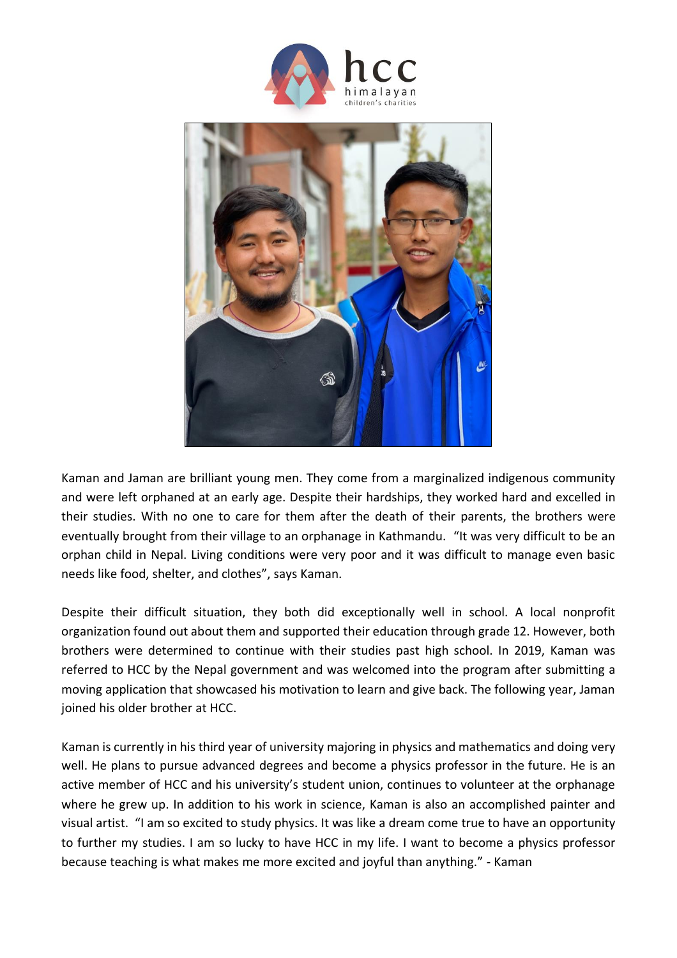

Kaman and Jaman are brilliant young men. They come from a marginalized indigenous community and were left orphaned at an early age. Despite their hardships, they worked hard and excelled in their studies. With no one to care for them after the death of their parents, the brothers were eventually brought from their village to an orphanage in Kathmandu. "It was very difficult to be an orphan child in Nepal. Living conditions were very poor and it was difficult to manage even basic needs like food, shelter, and clothes", says Kaman.

Despite their difficult situation, they both did exceptionally well in school. A local nonprofit organization found out about them and supported their education through grade 12. However, both brothers were determined to continue with their studies past high school. In 2019, Kaman was referred to HCC by the Nepal government and was welcomed into the program after submitting a moving application that showcased his motivation to learn and give back. The following year, Jaman joined his older brother at HCC.

Kaman is currently in his third year of university majoring in physics and mathematics and doing very well. He plans to pursue advanced degrees and become a physics professor in the future. He is an active member of HCC and his university's student union, continues to volunteer at the orphanage where he grew up. In addition to his work in science, Kaman is also an accomplished painter and visual artist. "I am so excited to study physics. It was like a dream come true to have an opportunity to further my studies. I am so lucky to have HCC in my life. I want to become a physics professor because teaching is what makes me more excited and joyful than anything." - Kaman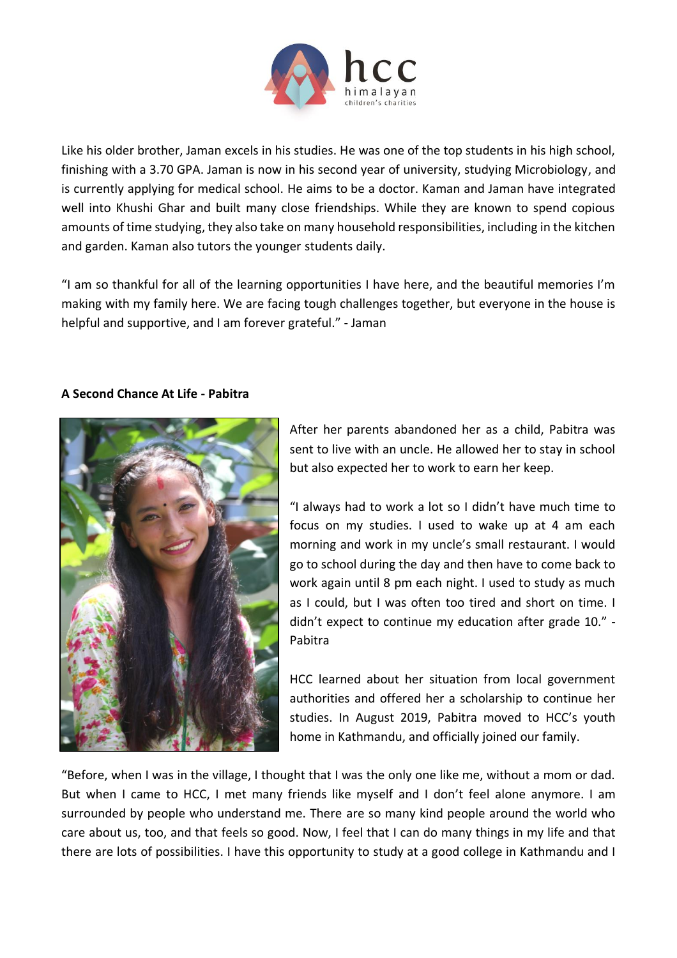

Like his older brother, Jaman excels in his studies. He was one of the top students in his high school, finishing with a 3.70 GPA. Jaman is now in his second year of university, studying Microbiology, and is currently applying for medical school. He aims to be a doctor. Kaman and Jaman have integrated well into Khushi Ghar and built many close friendships. While they are known to spend copious amounts of time studying, they also take on many household responsibilities, including in the kitchen and garden. Kaman also tutors the younger students daily.

"I am so thankful for all of the learning opportunities I have here, and the beautiful memories I'm making with my family here. We are facing tough challenges together, but everyone in the house is helpful and supportive, and I am forever grateful." - Jaman

### <span id="page-6-0"></span>**A Second Chance At Life - Pabitra**



After her parents abandoned her as a child, Pabitra was sent to live with an uncle. He allowed her to stay in school but also expected her to work to earn her keep.

"I always had to work a lot so I didn't have much time to focus on my studies. I used to wake up at 4 am each morning and work in my uncle's small restaurant. I would go to school during the day and then have to come back to work again until 8 pm each night. I used to study as much as I could, but I was often too tired and short on time. I didn't expect to continue my education after grade 10." - Pabitra

HCC learned about her situation from local government authorities and offered her a scholarship to continue her studies. In August 2019, Pabitra moved to HCC's youth home in Kathmandu, and officially joined our family.

"Before, when I was in the village, I thought that I was the only one like me, without a mom or dad. But when I came to HCC, I met many friends like myself and I don't feel alone anymore. I am surrounded by people who understand me. There are so many kind people around the world who care about us, too, and that feels so good. Now, I feel that I can do many things in my life and that there are lots of possibilities. I have this opportunity to study at a good college in Kathmandu and I